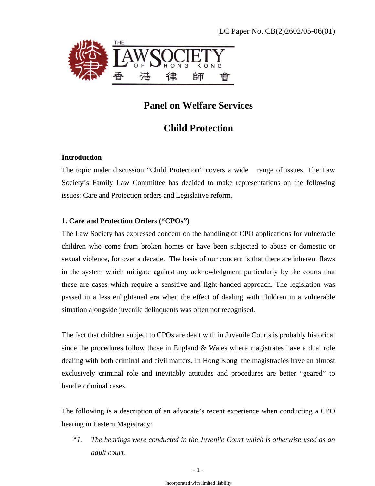

# **Panel on Welfare Services**

# **Child Protection**

# **Introduction**

The topic under discussion "Child Protection" covers a wide range of issues. The Law Society's Family Law Committee has decided to make representations on the following issues: Care and Protection orders and Legislative reform.

# **1. Care and Protection Orders ("CPOs")**

The Law Society has expressed concern on the handling of CPO applications for vulnerable children who come from broken homes or have been subjected to abuse or domestic or sexual violence, for over a decade. The basis of our concern is that there are inherent flaws in the system which mitigate against any acknowledgment particularly by the courts that these are cases which require a sensitive and light-handed approach. The legislation was passed in a less enlightened era when the effect of dealing with children in a vulnerable situation alongside juvenile delinquents was often not recognised.

The fact that children subject to CPOs are dealt with in Juvenile Courts is probably historical since the procedures follow those in England & Wales where magistrates have a dual role dealing with both criminal and civil matters. In Hong Kong the magistracies have an almost exclusively criminal role and inevitably attitudes and procedures are better "geared" to handle criminal cases.

The following is a description of an advocate's recent experience when conducting a CPO hearing in Eastern Magistracy:

*"1. The hearings were conducted in the Juvenile Court which is otherwise used as an adult court.*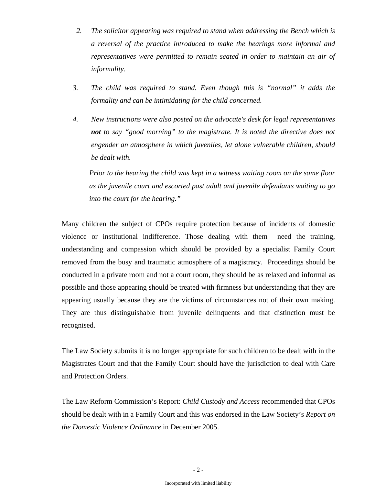- *2. The solicitor appearing was required to stand when addressing the Bench which is a reversal of the practice introduced to make the hearings more informal and representatives were permitted to remain seated in order to maintain an air of informality.*
- *3. The child was required to stand. Even though this is "normal" it adds the formality and can be intimidating for the child concerned.*
- *4. New instructions were also posted on the advocate's desk for legal representatives not to say "good morning" to the magistrate. It is noted the directive does not engender an atmosphere in which juveniles, let alone vulnerable children, should be dealt with.*

*Prior to the hearing the child was kept in a witness waiting room on the same floor as the juvenile court and escorted past adult and juvenile defendants waiting to go into the court for the hearing."* 

Many children the subject of CPOs require protection because of incidents of domestic violence or institutional indifference. Those dealing with them need the training, understanding and compassion which should be provided by a specialist Family Court removed from the busy and traumatic atmosphere of a magistracy. Proceedings should be conducted in a private room and not a court room, they should be as relaxed and informal as possible and those appearing should be treated with firmness but understanding that they are appearing usually because they are the victims of circumstances not of their own making. They are thus distinguishable from juvenile delinquents and that distinction must be recognised.

The Law Society submits it is no longer appropriate for such children to be dealt with in the Magistrates Court and that the Family Court should have the jurisdiction to deal with Care and Protection Orders.

The Law Reform Commission's Report: *Child Custody and Access* recommended that CPOs should be dealt with in a Family Court and this was endorsed in the Law Society's *Report on the Domestic Violence Ordinance* in December 2005.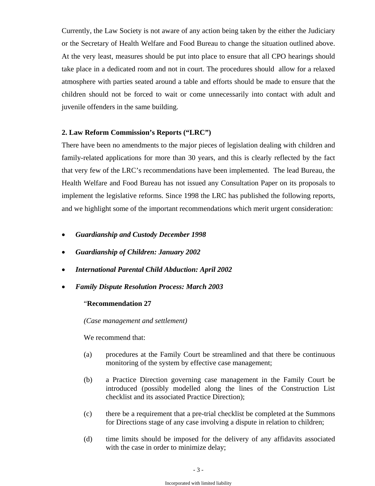Currently, the Law Society is not aware of any action being taken by the either the Judiciary or the Secretary of Health Welfare and Food Bureau to change the situation outlined above. At the very least, measures should be put into place to ensure that all CPO hearings should take place in a dedicated room and not in court. The procedures should allow for a relaxed atmosphere with parties seated around a table and efforts should be made to ensure that the children should not be forced to wait or come unnecessarily into contact with adult and juvenile offenders in the same building.

#### **2. Law Reform Commission's Reports ("LRC")**

There have been no amendments to the major pieces of legislation dealing with children and family-related applications for more than 30 years, and this is clearly reflected by the fact that very few of the LRC's recommendations have been implemented. The lead Bureau, the Health Welfare and Food Bureau has not issued any Consultation Paper on its proposals to implement the legislative reforms. Since 1998 the LRC has published the following reports, and we highlight some of the important recommendations which merit urgent consideration:

- *Guardianship and Custody December 1998*
- *Guardianship of Children: January 2002*
- *International Parental Child Abduction: April 2002*
- *Family Dispute Resolution Process: March 2003*

#### "**Recommendation 27**

*(Case management and settlement)* 

We recommend that:

- (a) procedures at the Family Court be streamlined and that there be continuous monitoring of the system by effective case management;
- (b) a Practice Direction governing case management in the Family Court be introduced (possibly modelled along the lines of the Construction List checklist and its associated Practice Direction);
- (c) there be a requirement that a pre-trial checklist be completed at the Summons for Directions stage of any case involving a dispute in relation to children;
- (d) time limits should be imposed for the delivery of any affidavits associated with the case in order to minimize delay;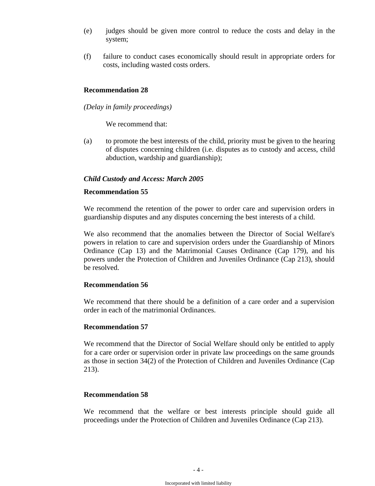- (e) judges should be given more control to reduce the costs and delay in the system;
- (f) failure to conduct cases economically should result in appropriate orders for costs, including wasted costs orders.

#### **Recommendation 28**

*(Delay in family proceedings)* 

We recommend that:

(a) to promote the best interests of the child, priority must be given to the hearing of disputes concerning children (i.e. disputes as to custody and access, child abduction, wardship and guardianship);

## *Child Custody and Access: March 2005*

#### **Recommendation 55**

We recommend the retention of the power to order care and supervision orders in guardianship disputes and any disputes concerning the best interests of a child.

We also recommend that the anomalies between the Director of Social Welfare's powers in relation to care and supervision orders under the Guardianship of Minors Ordinance (Cap 13) and the Matrimonial Causes Ordinance (Cap 179), and his powers under the Protection of Children and Juveniles Ordinance (Cap 213), should be resolved.

#### **Recommendation 56**

We recommend that there should be a definition of a care order and a supervision order in each of the matrimonial Ordinances.

## **Recommendation 57**

We recommend that the Director of Social Welfare should only be entitled to apply for a care order or supervision order in private law proceedings on the same grounds as those in section 34(2) of the Protection of Children and Juveniles Ordinance (Cap 213).

## **Recommendation 58**

We recommend that the welfare or best interests principle should guide all proceedings under the Protection of Children and Juveniles Ordinance (Cap 213).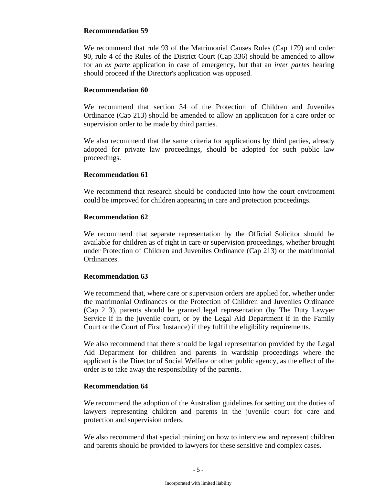## **Recommendation 59**

We recommend that rule 93 of the Matrimonial Causes Rules (Cap 179) and order 90, rule 4 of the Rules of the District Court (Cap 336) should be amended to allow for an *ex parte* application in case of emergency, but that an *inter partes* hearing should proceed if the Director's application was opposed.

# **Recommendation 60**

We recommend that section 34 of the Protection of Children and Juveniles Ordinance (Cap 213) should be amended to allow an application for a care order or supervision order to be made by third parties.

We also recommend that the same criteria for applications by third parties, already adopted for private law proceedings, should be adopted for such public law proceedings.

# **Recommendation 61**

We recommend that research should be conducted into how the court environment could be improved for children appearing in care and protection proceedings.

# **Recommendation 62**

We recommend that separate representation by the Official Solicitor should be available for children as of right in care or supervision proceedings, whether brought under Protection of Children and Juveniles Ordinance (Cap 213) or the matrimonial Ordinances.

# **Recommendation 63**

We recommend that, where care or supervision orders are applied for, whether under the matrimonial Ordinances or the Protection of Children and Juveniles Ordinance (Cap 213), parents should be granted legal representation (by The Duty Lawyer Service if in the juvenile court, or by the Legal Aid Department if in the Family Court or the Court of First Instance) if they fulfil the eligibility requirements.

We also recommend that there should be legal representation provided by the Legal Aid Department for children and parents in wardship proceedings where the applicant is the Director of Social Welfare or other public agency, as the effect of the order is to take away the responsibility of the parents.

# **Recommendation 64**

We recommend the adoption of the Australian guidelines for setting out the duties of lawyers representing children and parents in the juvenile court for care and protection and supervision orders.

We also recommend that special training on how to interview and represent children and parents should be provided to lawyers for these sensitive and complex cases.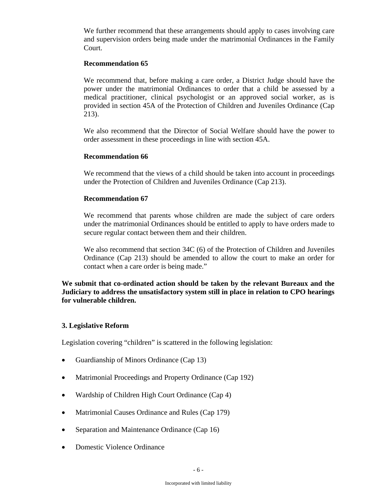We further recommend that these arrangements should apply to cases involving care and supervision orders being made under the matrimonial Ordinances in the Family Court.

#### **Recommendation 65**

We recommend that, before making a care order, a District Judge should have the power under the matrimonial Ordinances to order that a child be assessed by a medical practitioner, clinical psychologist or an approved social worker, as is provided in section 45A of the Protection of Children and Juveniles Ordinance (Cap 213).

We also recommend that the Director of Social Welfare should have the power to order assessment in these proceedings in line with section 45A.

#### **Recommendation 66**

We recommend that the views of a child should be taken into account in proceedings under the Protection of Children and Juveniles Ordinance (Cap 213).

#### **Recommendation 67**

We recommend that parents whose children are made the subject of care orders under the matrimonial Ordinances should be entitled to apply to have orders made to secure regular contact between them and their children.

We also recommend that section 34C (6) of the Protection of Children and Juveniles Ordinance (Cap 213) should be amended to allow the court to make an order for contact when a care order is being made."

**We submit that co-ordinated action should be taken by the relevant Bureaux and the Judiciary to address the unsatisfactory system still in place in relation to CPO hearings for vulnerable children.** 

## **3. Legislative Reform**

Legislation covering "children" is scattered in the following legislation:

- Guardianship of Minors Ordinance (Cap 13)
- Matrimonial Proceedings and Property Ordinance (Cap 192)
- Wardship of Children High Court Ordinance (Cap 4)
- Matrimonial Causes Ordinance and Rules (Cap 179)
- Separation and Maintenance Ordinance (Cap 16)
- Domestic Violence Ordinance